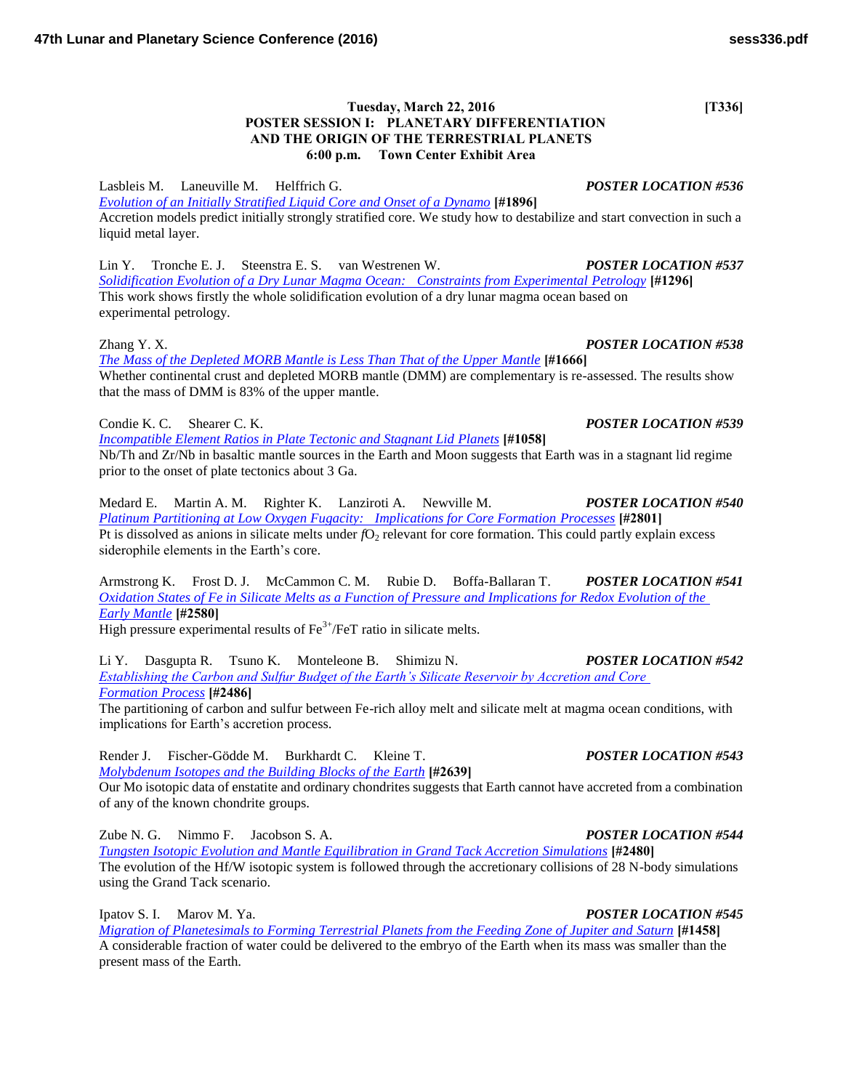# **Tuesday, March 22, 2016** [T336] **POSTER SESSION I: PLANETARY DIFFERENTIATION AND THE ORIGIN OF THE TERRESTRIAL PLANETS 6:00 p.m. Town Center Exhibit Area**

Lasbleis M. Laneuville M. Helffrich G. *POSTER LOCATION #536*

*[Evolution of an Initially Stratified Liquid Core and Onset of a Dynamo](http://www.hou.usra.edu/meetings/lpsc2016/pdf/1896.pdf)* **[#1896]** Accretion models predict initially strongly stratified core. We study how to destabilize and start convection in such a liquid metal layer.

Lin Y. Tronche E. J. Steenstra E. S. van Westrenen W. *POSTER LOCATION #537 [Solidification Evolution of a Dry Lunar Magma Ocean: Constraints from Experimental Petrology](http://www.hou.usra.edu/meetings/lpsc2016/pdf/1296.pdf)* **[#1296]** This work shows firstly the whole solidification evolution of a dry lunar magma ocean based on experimental petrology.

*[The Mass of the Depleted MORB Mantle is Less Than That of the Upper Mantle](http://www.hou.usra.edu/meetings/lpsc2016/pdf/1666.pdf)* **[#1666]** Whether continental crust and depleted MORB mantle (DMM) are complementary is re-assessed. The results show that the mass of DMM is 83% of the upper mantle.

Condie K. C. Shearer C. K. *POSTER LOCATION #539*

*[Incompatible Element Ratios in Plate Tectonic and Stagnant Lid Planets](http://www.hou.usra.edu/meetings/lpsc2016/pdf/1058.pdf)* **[#1058]** Nb/Th and Zr/Nb in basaltic mantle sources in the Earth and Moon suggests that Earth was in a stagnant lid regime prior to the onset of plate tectonics about 3 Ga.

Medard E. Martin A. M. Righter K. Lanziroti A. Newville M. *POSTER LOCATION #540 [Platinum Partitioning at Low Oxygen Fugacity: Implications for Core Formation Processes](http://www.hou.usra.edu/meetings/lpsc2016/pdf/2801.pdf)* **[#2801]** Pt is dissolved as anions in silicate melts under *fO*<sub>2</sub> relevant for core formation. This could partly explain excess siderophile elements in the Earth's core.

Armstrong K. Frost D. J. McCammon C. M. Rubie D. Boffa-Ballaran T. *POSTER LOCATION #541 [Oxidation States of Fe in Silicate Melts as a Function of Pressure and Implications for Redox Evolution of the](http://www.hou.usra.edu/meetings/lpsc2016/pdf/2580.pdf)  [Early Mantle](http://www.hou.usra.edu/meetings/lpsc2016/pdf/2580.pdf)* **[#2580]**

High pressure experimental results of  $Fe^{3+}/FeT$  ratio in silicate melts.

Li Y. Dasgupta R. Tsuno K. Monteleone B. Shimizu N. *POSTER LOCATION #542 [Establishing the Carbon and Sulfur Budget of the Earth's Silicate Reservoir by Accretion and Core](http://www.hou.usra.edu/meetings/lpsc2016/pdf/2486.pdf)  [Formation Process](http://www.hou.usra.edu/meetings/lpsc2016/pdf/2486.pdf)* **[#2486]**

The partitioning of carbon and sulfur between Fe-rich alloy melt and silicate melt at magma ocean conditions, with implications for Earth's accretion process.

Render J. Fischer-Gödde M. Burkhardt C. Kleine T. *POSTER LOCATION #543 [Molybdenum Isotopes and the Building Blocks of the Earth](http://www.hou.usra.edu/meetings/lpsc2016/pdf/2639.pdf)* **[#2639]**

Our Mo isotopic data of enstatite and ordinary chondrites suggests that Earth cannot have accreted from a combination of any of the known chondrite groups.

Zube N. G. Nimmo F. Jacobson S. A. *POSTER LOCATION #544 [Tungsten Isotopic Evolution and Mantle Equilibration in Grand Tack Accretion Simulations](http://www.hou.usra.edu/meetings/lpsc2016/pdf/2480.pdf)* **[#2480]** The evolution of the Hf/W isotopic system is followed through the accretionary collisions of 28 N-body simulations using the Grand Tack scenario.

Ipatov S. I. Marov M. Ya. *POSTER LOCATION #545 [Migration of Planetesimals to Forming Terrestrial Planets from the Feeding Zone of Jupiter and Saturn](http://www.hou.usra.edu/meetings/lpsc2016/pdf/1458.pdf)* **[#1458]** A considerable fraction of water could be delivered to the embryo of the Earth when its mass was smaller than the present mass of the Earth.

# Zhang Y. X. *POSTER LOCATION #538*